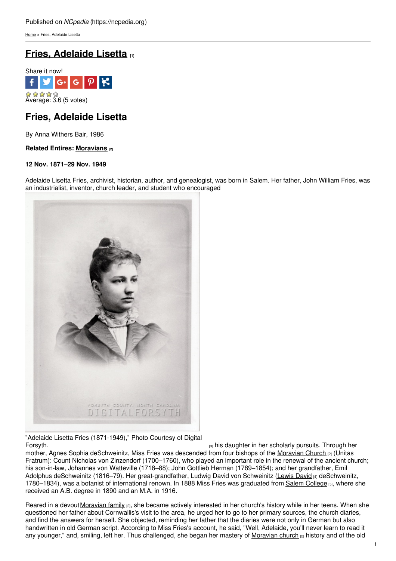[Home](https://ncpedia.org/) > Fries, Adelaide Lisetta

# **Fries, [Adelaide](https://ncpedia.org/biography/fries-adelaide) Lisetta [1]**



## **Fries, Adelaide Lisetta**

By Anna Withers Bair, 1986

## **Related Entires: [Moravians](https://ncpedia.org/moravians) [2]**

### **12 Nov. 1871–29 Nov. 1949**

Adelaide Lisetta Fries, archivist, historian, [author,](http://www.social9.com) and genealogist, was born in Salem. Her father, John William Fries, was an industrialist, inventor, church leader, and student who encouraged



"Adelaide Lisetta Fries (1871-1949)," Photo Courtesy of Digital [Forsyth.](http://www.digitalforsyth.org/photos/7434) **Example 2018** Forsyth. **Example 2019** his daughter in her scholarly pursuits. Through her

mother, Agnes Sophia deSchweinitz, Miss Fries was descended from four bishops of the [Moravian](https://ncpedia.org/moravians) Church [2] (Unitas Fratrum): Count Nicholas von Zinzendorf (1700–1760), who played an important role in the renewal of the ancient church; his son-in-law, Johannes von Watteville (1718–88); John Gottlieb Herman (1789–1854); and her grandfather, Emil Adolphus deSchweinitz (1816–79). Her great-grandfather, Ludwig David von Schweinitz [\(Lewis](https://ncpedia.org/biography/schweinitz-lewis-david) David [4] deSchweinitz, 1780–1834), was a botanist of international renown. In 1888 Miss Fries was graduated from Salem [College](http://www.salem.edu/) [5], where she received an A.B. degree in 1890 and an M.A. in 1916.

Reared in a devout [Moravian](https://ncpedia.org/moravians) family <sub>[2]</sub>, she became actively interested in her church's history while in her teens. When she questioned her father about Cornwallis's visit to the area, he urged her to go to her primary sources, the church diaries, and find the answers for herself. She objected, reminding her father that the diaries were not only in German but also handwritten in old German script. According to Miss Fries's account, he said, "Well, Adelaide, you'll never learn to read it any younger," and, smiling, left her. Thus challenged, she began her mastery of [Moravian](https://ncpedia.org/moravians) church [2] history and of the old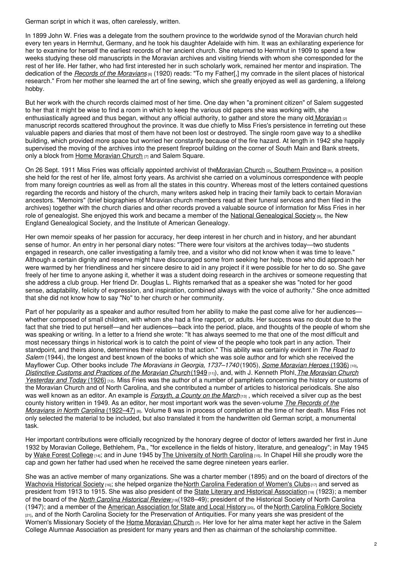German script in which it was, often carelessly, written.

In 1899 John W. Fries was a delegate from the southern province to the worldwide synod of the Moravian church held every ten years in Herrnhut, Germany, and he took his daughter Adelaide with him. It was an exhilarating experience for her to examine for herself the earliest records of her ancient church. She returned to Herrnhut in 1909 to spend a few weeks studying these old manuscripts in the Moravian archives and visiting friends with whom she corresponded for the rest of her life. Her father, who had first interested her in such scholarly work, remained her mentor and inspiration. The dedication of the *Records of the [Moravians](http://www.ncpublications.com/documentaries/moravians.htm)* [6] (1920) reads: "To my Father[,] my comrade in the silent places of historical research." From her mother she learned the art of fine sewing, which she greatly enjoyed as well as gardening, a lifelong hobby.

But her work with the church records claimed most of her time. One day when "a prominent citizen" of Salem suggested to her that it might be wise to find a room in which to keep the various old papers she was working with, she enthusiastically agreed and thus began, without any official authority, to gather and store the many old [Moravian](https://ncpedia.org/moravians) <sub>[2]</sub> manuscript records scattered throughout the province. It was due chiefly to Miss Fries's persistence in ferreting out these valuable papers and diaries that most of them have not been lost or destroyed. The single room gave way to a shedlike building, which provided more space but worried her constantly because of the fire hazard. At length in 1942 she happily supervised the moving of the archives into the present fireproof building on the corner of South Main and Bank streets, only a block from Home [Moravian](http://homemoravian.org/) Church [7] and Salem Square.

On 26 Sept. 1911 Miss Fries was officially appointed archivist of th[eMoravian](https://ncpedia.org/moravians) Church  $_{[2]}$ , [Southern](http://www.mcsp.org/) Province  $_{[8]}$ , a position she held for the rest of her life, almost forty years. As archivist she carried on a voluminous correspondence with people from many foreign countries as well as from all the states in this country. Whereas most of the letters contained questions regarding the records and history of the church, many writers asked help in tracing their family back to certain Moravian ancestors. "Memoirs" (brief biographies of Moravian church members read at their funeral services and then filed in the archives) together with the church diaries and other records proved a valuable source of information for Miss Fries in her role of genealogist. She enjoyed this work and became a member of the National [Genealogical](http://www.ngsgenealogy.org/) Society [9], the New England Genealogical Society, and the Institute of American Genealogy.

Her own memoir speaks of her passion for accuracy, her deep interest in her church and in history, and her abundant sense of humor. An entry in her personal diary notes: "There were four visitors at the archives today—two students engaged in research, one caller investigating a family tree, and a visitor who did not know when it was time to leave." Although a certain dignity and reserve might have discouraged some from seeking her help, those who did approach her were warmed by her friendliness and her sincere desire to aid in any project if it were possible for her to do so. She gave freely of her time to anyone asking it, whether it was a student doing research in the archives or someone requesting that she address a club group. Her friend Dr. Douglas L. Rights remarked that as a speaker she was "noted for her good sense, adaptability, felicity of expression, and inspiration, combined always with the voice of authority." She once admitted that she did not know how to say "No" to her church or her community.

Part of her popularity as a speaker and author resulted from her ability to make the past come alive for her audiences– whether composed of small children, with whom she had a fine rapport, or adults. Her success was no doubt due to the fact that she tried to put herself—and her audiences—back into the period, place, and thoughts of the people of whom she was speaking or writing. In a letter to a friend she wrote: "It has always seemed to me that one of the most difficult and most necessary things in historical work is to catch the point of view of the people who took part in any action. Their standpoint, and theirs alone, determines their relation to that action." This ability was certainly evident in *The Road to Salem* (1944), the longest and best known of the books of which she was sole author and for which she received the Mayflower Cup. Other books include *The Moravians in Georgia, 1737–1740* (1905), *Some [Moravian](https://www.worldcat.org/title/some-moravian-heroes/oclc/001446629) Heroes* (1936) [10], *[Distinctive](https://www.worldcat.org/title/distinctive-customs-and-practices-of-the-moravian-church/oclc/2791327) Customs and Practices of the Moravian Church* (1949 [11]), and, with J. Kenneth Pfohl,*The Moravian Church Yesterday and Today* (1926) [12]. Miss Fries was the author of a number of pamphlets [concerning](https://www.worldcat.org/title/moravian-church-yesterday-and-today/oclc/01445774) the history or customs of the Moravian Church and of North Carolina, and she contributed a number of articles to historical periodicals. She also was well known as an editor. An example is *[Forsyth,](https://archive.org/details/forsythcountyonm00frie) a County on the March*[13] , which received a silver cup as the best county history written in 1949. As an editor, her most important work was the [seven-volume](http://www.ncpublications.com/documentaries/moravians.htm) *The Records of the Moravians in North Carolina* (1922–47) [6]. Volume 8 was in process of completion at the time of her death. Miss Fries not only selected the material to be included, but also translated it from the handwritten old German script, a monumental task.

Her important contributions were officially recognized by the honorary degree of doctor of letters awarded her first in June 1932 by Moravian College, Bethlehem, Pa., "for excellence in the fields of history, literature, and genealogy"; in May 1945 by Wake Forest [College](https://ncpedia.org/wake-forest-university) [14]; and in June 1945 by The [University](https://ncpedia.org/university-north-carolina-chapel-hi) of North Carolina [15]. In Chapel Hill she proudly wore the cap and gown her father had used when he received the same degree nineteen years earlier.

She was an active member of many organizations. She was a charter member (1895) and on the board of directors of the [Wachovia](http://www.wachoviatract.org/) Historical Society [16]; she helped organize the North Carolina [Federation](http://www.gfwcnc.org/) of Women's Clubs<sup>[17]</sup> and served as president from 1913 to 1915. She was also president of the State Literary and Historical [Association](https://ncpedia.org/www.ncpedia.org/literary-and-historical-association) [18] (1923); a member of the board of the *North Carolina [Historical](https://ncpedia.org/north-carolina-historical-review) Review* [19](1928–49); president of the Historical Society of North Carolina (1947); and a member of the American [Association](http://www.aaslh.org/) for State and Local History [20], of the North [Carolina](http://www.ncfolkloresociety.org/) Folklore Society  $_{[21]}$ , and of the North Carolina Society for the Preservation of Antiquities. For many years she was president of the Women's Missionary Society of the Home [Moravian](http://homemoravian.org/) Church [7]. Her love for her alma mater kept her active in the Salem College Alumnae Association as president for many years and then as chairman of the scholarship committee.